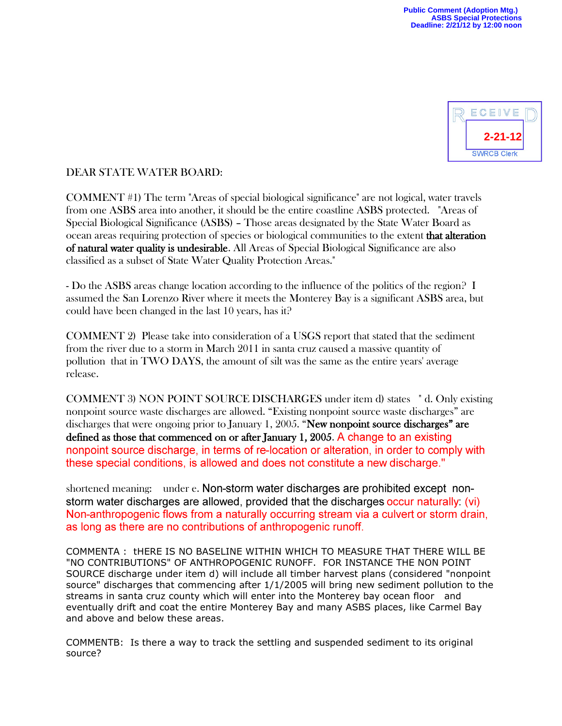

## DEAR STATE WATER BOARD:

COMMENT #1) The term "Areas of special biological significance" are not logical, water travels from one ASBS area into another, it should be the entire coastline ASBS protected. "Areas of Special Biological Significance (ASBS) – Those areas designated by the State Water Board as ocean areas requiring protection of species or biological communities to the extent that alteration of natural water quality is undesirable. All Areas of Special Biological Significance are also classified as a subset of State Water Quality Protection Areas."

- Do the ASBS areas change location according to the influence of the politics of the region? I assumed the San Lorenzo River where it meets the Monterey Bay is a significant ASBS area, but could have been changed in the last 10 years, has it?

COMMENT 2) Please take into consideration of a USGS report that stated that the sediment from the river due to a storm in March 2011 in santa cruz caused a massive quantity of pollution that in TWO DAYS, the amount of silt was the same as the entire years' average release.

COMMENT 3) NON POINT SOURCE DISCHARGES under item d) states " d. Only existing nonpoint source waste discharges are allowed. "Existing nonpoint source waste discharges" are discharges that were ongoing prior to January 1, 2005. "New nonpoint source discharges" are defined as those that commenced on or after January 1, 2005. A change to an existing nonpoint source discharge, in terms of re-location or alteration, in order to comply with these special conditions, is allowed and does not constitute a new discharge."

shortened meaning: under e. Non-storm water discharges are prohibited except nonstorm water discharges are allowed, provided that the discharges occur naturally (vi) Non-anthropogenic flows from a naturally occurring stream via a culvert or storm drain, as long as there are no contributions of anthropogenic runoff.

COMMENTA : tHERE IS NO BASELINE WITHIN WHICH TO MEASURE THAT THERE WILL BE "NO CONTRIBUTIONS" OF ANTHROPOGENIC RUNOFF. FOR INSTANCE THE NON POINT SOURCE discharge under item d) will include all timber harvest plans (considered "nonpoint source" discharges that commencing after 1/1/2005 will bring new sediment pollution to the streams in santa cruz county which will enter into the Monterey bay ocean floor and eventually drift and coat the entire Monterey Bay and many ASBS places, like Carmel Bay and above and below these areas.

COMMENTB: Is there a way to track the settling and suspended sediment to its original source?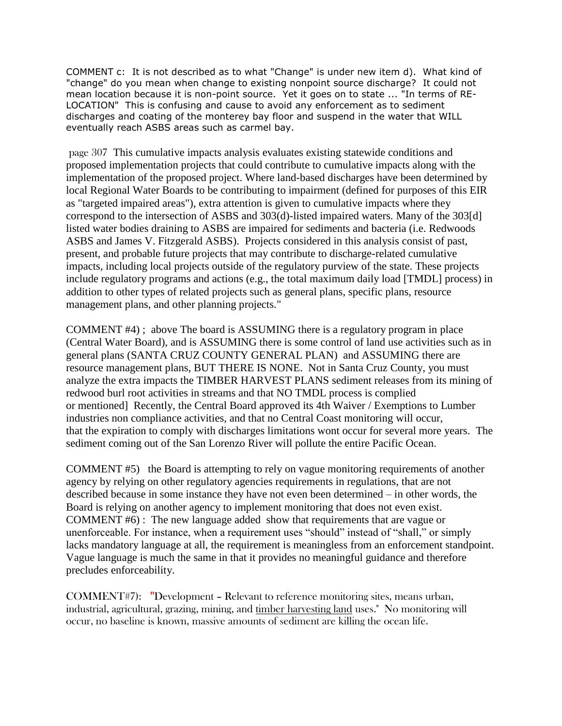COMMENT c: It is not described as to what "Change" is under new item d). What kind of "change" do you mean when change to existing nonpoint source discharge? It could not mean location because it is non-point source. Yet it goes on to state ... "In terms of RE-LOCATION" This is confusing and cause to avoid any enforcement as to sediment discharges and coating of the monterey bay floor and suspend in the water that WILL eventually reach ASBS areas such as carmel bay.

page 307 This cumulative impacts analysis evaluates existing statewide conditions and proposed implementation projects that could contribute to cumulative impacts along with the implementation of the proposed project. Where land-based discharges have been determined by local Regional Water Boards to be contributing to impairment (defined for purposes of this EIR as "targeted impaired areas"), extra attention is given to cumulative impacts where they correspond to the intersection of ASBS and 303(d)-listed impaired waters. Many of the 303[d] listed water bodies draining to ASBS are impaired for sediments and bacteria (i.e. Redwoods ASBS and James V. Fitzgerald ASBS). Projects considered in this analysis consist of past, present, and probable future projects that may contribute to discharge-related cumulative impacts, including local projects outside of the regulatory purview of the state. These projects include regulatory programs and actions (e.g., the total maximum daily load [TMDL] process) in addition to other types of related projects such as general plans, specific plans, resource management plans, and other planning projects."

COMMENT #4) ; above The board is ASSUMING there is a regulatory program in place (Central Water Board), and is ASSUMING there is some control of land use activities such as in general plans (SANTA CRUZ COUNTY GENERAL PLAN) and ASSUMING there are resource management plans, BUT THERE IS NONE. Not in Santa Cruz County, you must analyze the extra impacts the TIMBER HARVEST PLANS sediment releases from its mining of redwood burl root activities in streams and that NO TMDL process is complied or mentioned] Recently, the Central Board approved its 4th Waiver / Exemptions to Lumber industries non compliance activities, and that no Central Coast monitoring will occur, that the expiration to comply with discharges limitations wont occur for several more years. The sediment coming out of the San Lorenzo River will pollute the entire Pacific Ocean.

COMMENT #5) the Board is attempting to rely on vague monitoring requirements of another agency by relying on other regulatory agencies requirements in regulations, that are not described because in some instance they have not even been determined – in other words, the Board is relying on another agency to implement monitoring that does not even exist. COMMENT #6) : The new language added show that requirements that are vague or unenforceable. For instance, when a requirement uses "should" instead of "shall," or simply lacks mandatory language at all, the requirement is meaningless from an enforcement standpoint. Vague language is much the same in that it provides no meaningful guidance and therefore precludes enforceability.

COMMENT#7): Development – Relevant to reference monitoring sites, means urban, industrial, agricultural, grazing, mining, and timber harvesting land uses." No monitoring will occur, no baseline is known, massive amounts of sediment are killing the ocean life.